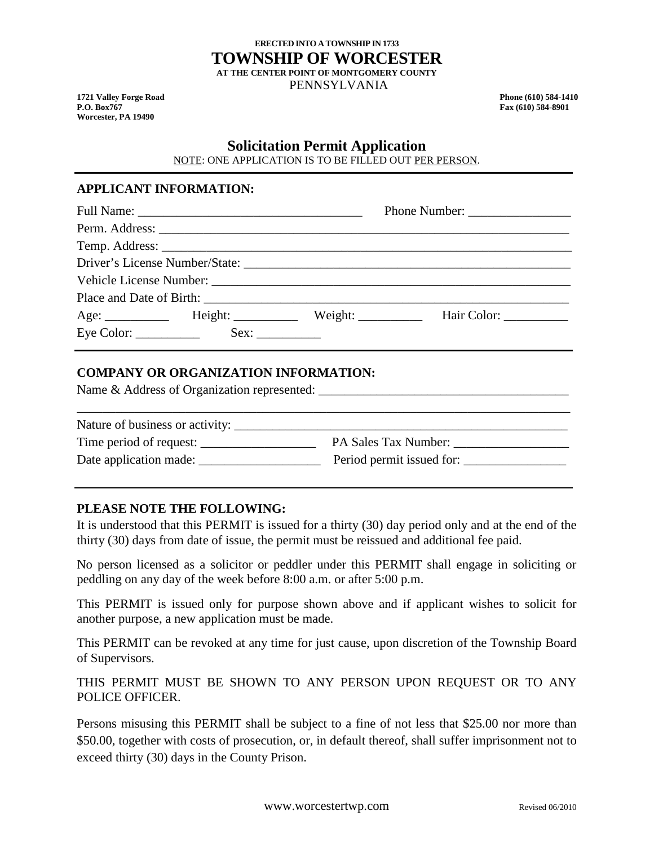#### **ERECTED INTO A TOWNSHIP IN 1733 TOWNSHIP OF WORCESTER AT THE CENTER POINT OF MONTGOMERY COUNTY** PENNSYLVANIA

**1721 Valley Forge Road Phone (610) 584-1410 Worcester, PA 19490**

**Fax** (610) 584-8901

# **Solicitation Permit Application**

NOTE: ONE APPLICATION IS TO BE FILLED OUT PER PERSON.

### **APPLICANT INFORMATION:**

| Eye Color: $\_\_$ |  |  |  |
|-------------------|--|--|--|

### **COMPANY OR ORGANIZATION INFORMATION:**

Name & Address of Organization represented: \_\_\_\_\_\_\_\_\_\_\_\_\_\_\_\_\_\_\_\_\_\_\_\_\_\_\_\_\_\_\_\_\_\_\_\_\_\_\_ \_\_\_\_\_\_\_\_\_\_\_\_\_\_\_\_\_\_\_\_\_\_\_\_\_\_\_\_\_\_\_\_\_\_\_\_\_\_\_\_\_\_\_\_\_\_\_\_\_\_\_\_\_\_\_\_\_\_\_\_\_\_\_\_\_\_\_\_\_\_\_\_\_\_\_\_\_ Nature of business or activity: Time period of request: \_\_\_\_\_\_\_\_\_\_\_\_\_\_\_\_\_\_ PA Sales Tax Number: \_\_\_\_\_\_\_\_\_\_\_\_\_\_\_\_\_\_ Date application made: \_\_\_\_\_\_\_\_\_\_\_\_\_\_\_\_\_\_\_ Period permit issued for: \_\_\_\_\_\_\_\_\_\_\_\_\_\_\_\_

### **PLEASE NOTE THE FOLLOWING:**

It is understood that this PERMIT is issued for a thirty (30) day period only and at the end of the thirty (30) days from date of issue, the permit must be reissued and additional fee paid.

No person licensed as a solicitor or peddler under this PERMIT shall engage in soliciting or peddling on any day of the week before 8:00 a.m. or after 5:00 p.m.

This PERMIT is issued only for purpose shown above and if applicant wishes to solicit for another purpose, a new application must be made.

This PERMIT can be revoked at any time for just cause, upon discretion of the Township Board of Supervisors.

THIS PERMIT MUST BE SHOWN TO ANY PERSON UPON REQUEST OR TO ANY POLICE OFFICER.

Persons misusing this PERMIT shall be subject to a fine of not less that \$25.00 nor more than \$50.00, together with costs of prosecution, or, in default thereof, shall suffer imprisonment not to exceed thirty (30) days in the County Prison.